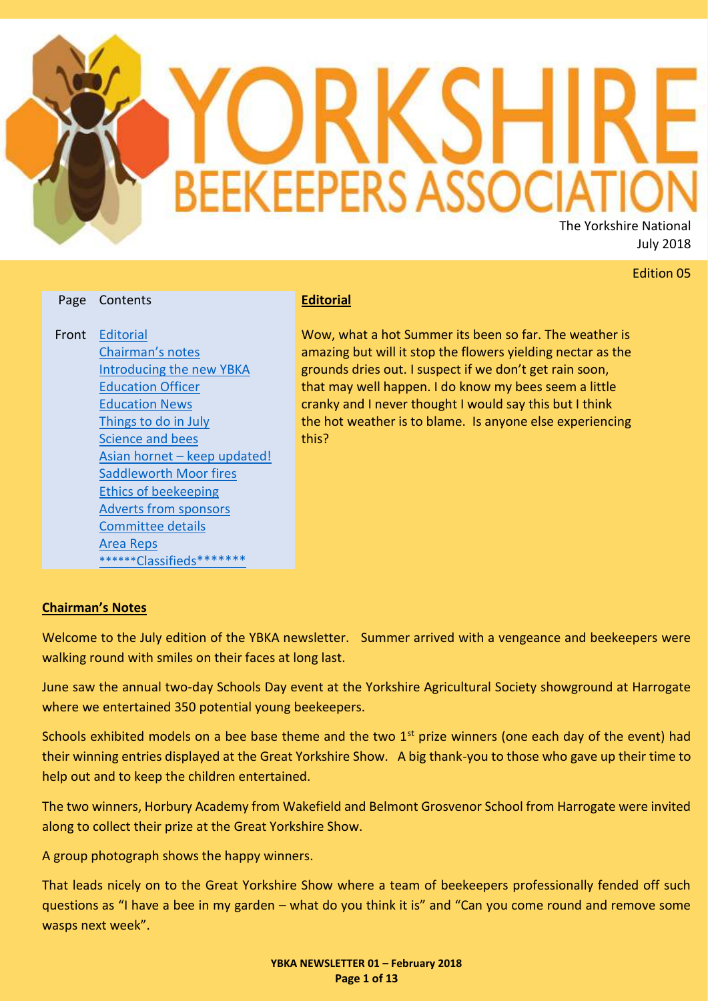

# Edition 05

#### Page Contents

Front [Editorial](#page-0-0) [Chairman's notes](#page-0-1) [Introducing the new YBKA](#page-1-0)  [Education Officer](#page-1-0) [Education News](#page-2-0) [Things to do in July](#page-3-0) [Science and bees](#page-4-0) Asian hornet – [keep updated!](#page-6-0) [Saddleworth Moor fires](#page-6-1) [Ethics of beekeeping](#page-7-0) [Adverts from](#page-8-0) sponsors [Committee details](#page-11-0) [Area Reps](#page-11-0) \*\*\*\*\*\*[Classifieds\\*](#page-12-0)\*\*\*\*\*\*

#### <span id="page-0-0"></span>**Editorial**

Wow, what a hot Summer its been so far. The weather is amazing but will it stop the flowers yielding nectar as the grounds dries out. I suspect if we don't get rain soon, that may well happen. I do know my bees seem a little cranky and I never thought I would say this but I think the hot weather is to blame. Is anyone else experiencing this?

#### <span id="page-0-1"></span>**Chairman's Notes**

Welcome to the July edition of the YBKA newsletter. Summer arrived with a vengeance and beekeepers were walking round with smiles on their faces at long last.

June saw the annual two-day Schools Day event at the Yorkshire Agricultural Society showground at Harrogate where we entertained 350 potential young beekeepers.

Schools exhibited models on a bee base theme and the two  $1<sup>st</sup>$  prize winners (one each day of the event) had their winning entries displayed at the Great Yorkshire Show. A big thank-you to those who gave up their time to help out and to keep the children entertained.

The two winners, Horbury Academy from Wakefield and Belmont Grosvenor School from Harrogate were invited along to collect their prize at the Great Yorkshire Show.

A group photograph shows the happy winners.

That leads nicely on to the Great Yorkshire Show where a team of beekeepers professionally fended off such questions as "I have a bee in my garden – what do you think it is" and "Can you come round and remove some wasps next week".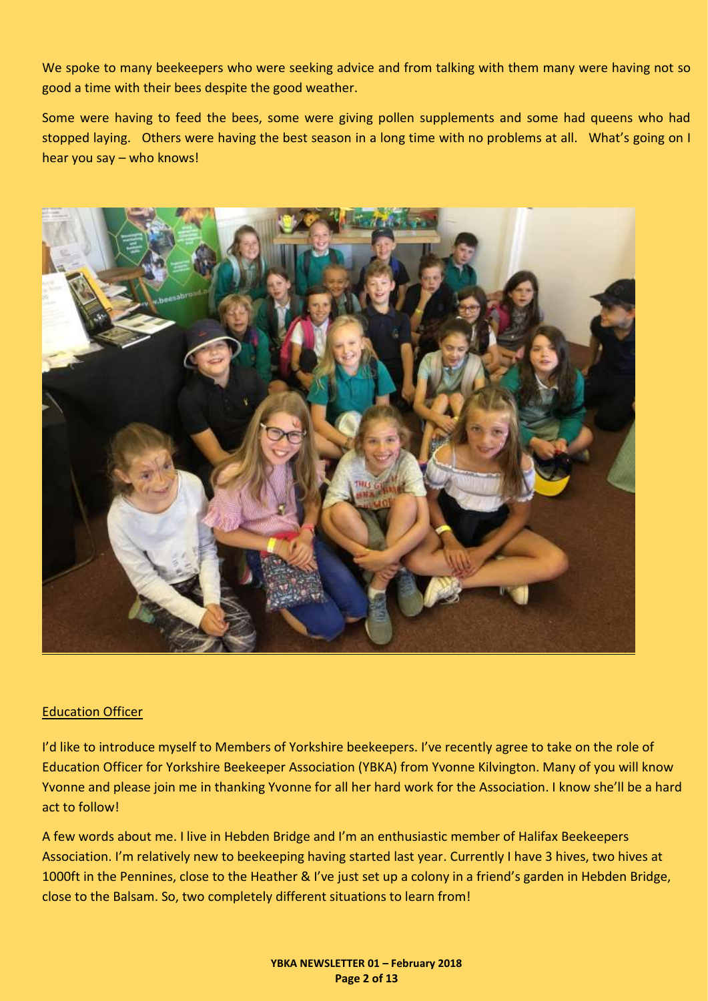We spoke to many beekeepers who were seeking advice and from talking with them many were having not so good a time with their bees despite the good weather.

Some were having to feed the bees, some were giving pollen supplements and some had queens who had stopped laying. Others were having the best season in a long time with no problems at all. What's going on I hear you say – who knows!



#### <span id="page-1-0"></span>Education Officer

I'd like to introduce myself to Members of Yorkshire beekeepers. I've recently agree to take on the role of Education Officer for Yorkshire Beekeeper Association (YBKA) from Yvonne Kilvington. Many of you will know Yvonne and please join me in thanking Yvonne for all her hard work for the Association. I know she'll be a hard act to follow!

A few words about me. I live in Hebden Bridge and I'm an enthusiastic member of Halifax Beekeepers Association. I'm relatively new to beekeeping having started last year. Currently I have 3 hives, two hives at 1000ft in the Pennines, close to the Heather & I've just set up a colony in a friend's garden in Hebden Bridge, close to the Balsam. So, two completely different situations to learn from!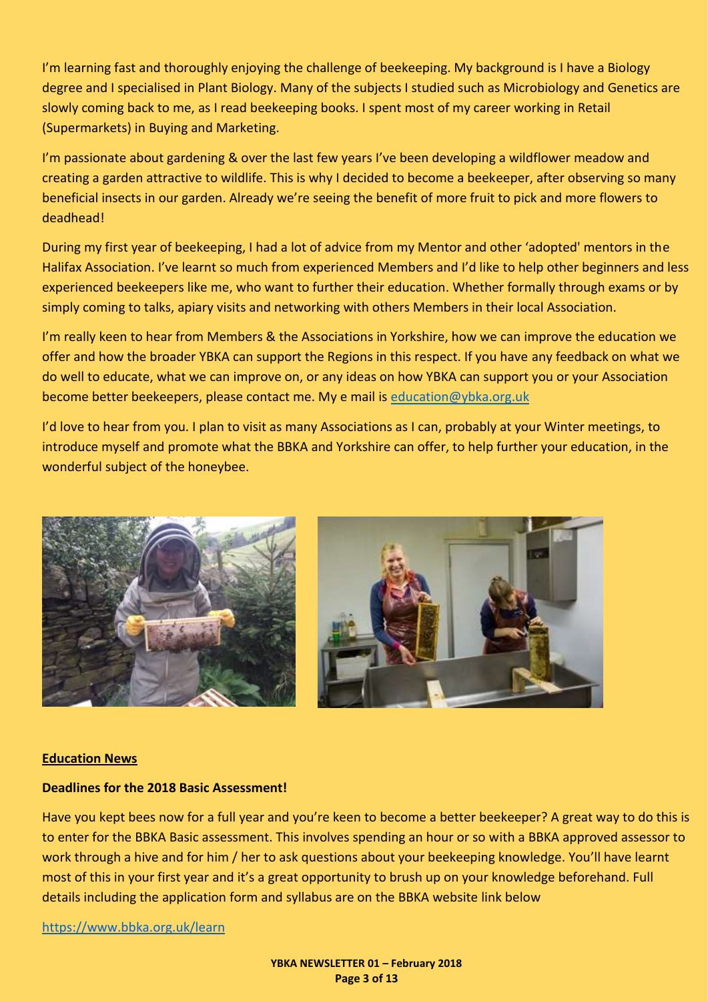I'm learning fast and thoroughly enjoying the challenge of beekeeping. My background is I have a Biology degree and I specialised in Plant Biology. Many of the subjects I studied such as Microbiology and Genetics are slowly coming back to me, as I read beekeeping books. I spent most of my career working in Retail (Supermarkets) in Buying and Marketing.

I'm passionate about gardening & over the last few years I've been developing a wildflower meadow and creating a garden attractive to wildlife. This is why I decided to become a beekeeper, after observing so many beneficial insects in our garden. Already we're seeing the benefit of more fruit to pick and more flowers to deadhead!

During my first year of beekeeping, I had a lot of advice from my Mentor and other 'adopted' mentors in the Halifax Association. I've learnt so much from experienced Members and I'd like to help other beginners and less experienced beekeepers like me, who want to further their education. Whether formally through exams or by simply coming to talks, apiary visits and networking with others Members in their local Association.

I'm really keen to hear from Members & the Associations in Yorkshire, how we can improve the education we offer and how the broader YBKA can support the Regions in this respect. If you have any feedback on what we do well to educate, what we can improve on, or any ideas on how YBKA can support you or your Association become better beekeepers, please contact me. My e mail is [education@ybka.org.uk](mailto:education@ybka.org.uk)

I'd love to hear from you. I plan to visit as many Associations as I can, probably at your Winter meetings, to introduce myself and promote what the BBKA and Yorkshire can offer, to help further your education, in the wonderful subject of the honeybee.



#### <span id="page-2-0"></span>**Education News**

#### **Deadlines for the 2018 Basic Assessment!**

Have you kept bees now for a full year and you're keen to become a better beekeeper? A great way to do this is to enter for the BBKA Basic assessment. This involves spending an hour or so with a BBKA approved assessor to work through a hive and for him / her to ask questions about your beekeeping knowledge. You'll have learnt most of this in your first year and it's a great opportunity to brush up on your knowledge beforehand. Full details including the application form and syllabus are on the BBKA website link below

<https://www.bbka.org.uk/learn>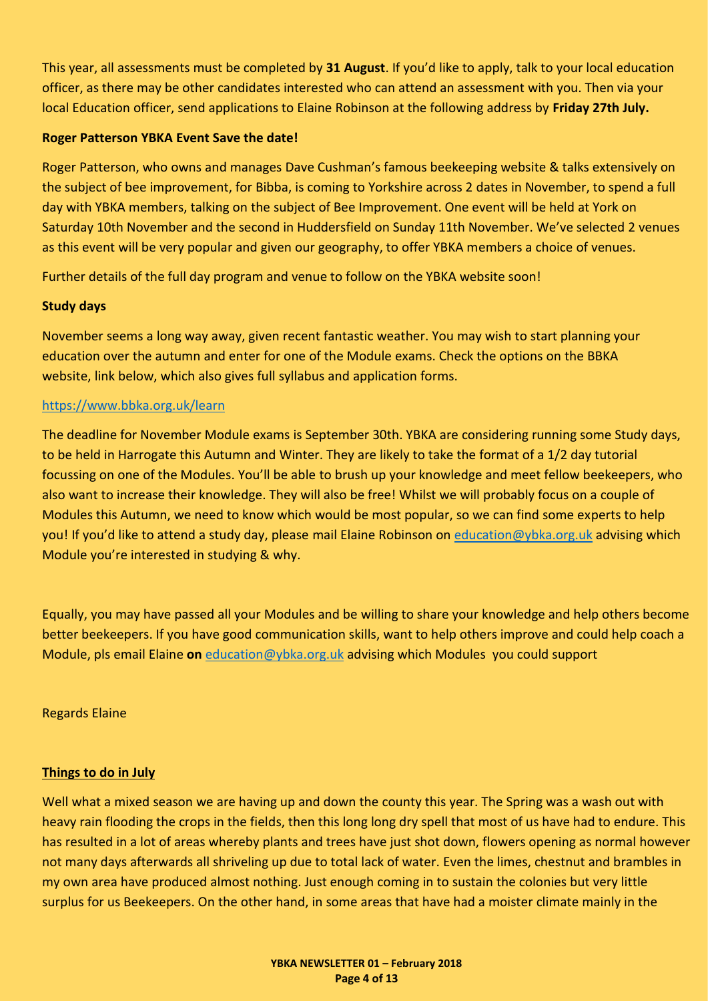This year, all assessments must be completed by **31 August**. If you'd like to apply, talk to your local education officer, as there may be other candidates interested who can attend an assessment with you. Then via your local Education officer, send applications to Elaine Robinson at the following address by **Friday 27th July.**

#### **Roger Patterson YBKA Event Save the date!**

Roger Patterson, who owns and manages Dave Cushman's famous beekeeping website & talks extensively on the subject of bee improvement, for Bibba, is coming to Yorkshire across 2 dates in November, to spend a full day with YBKA members, talking on the subject of Bee Improvement. One event will be held at York on Saturday 10th November and the second in Huddersfield on Sunday 11th November. We've selected 2 venues as this event will be very popular and given our geography, to offer YBKA members a choice of venues.

Further details of the full day program and venue to follow on the YBKA website soon!

# **Study days**

November seems a long way away, given recent fantastic weather. You may wish to start planning your education over the autumn and enter for one of the Module exams. Check the options on the BBKA website, link below, which also gives full syllabus and application forms.

#### <https://www.bbka.org.uk/learn>

The deadline for November Module exams is September 30th. YBKA are considering running some Study days, to be held in Harrogate this Autumn and Winter. They are likely to take the format of a 1/2 day tutorial focussing on one of the Modules. You'll be able to brush up your knowledge and meet fellow beekeepers, who also want to increase their knowledge. They will also be free! Whilst we will probably focus on a couple of Modules this Autumn, we need to know which would be most popular, so we can find some experts to help you! If you'd like to attend a study day, please mail Elaine Robinson on [education@ybka.org.uk](mailto:education@ybka.org.uk) advising which Module you're interested in studying & why.

Equally, you may have passed all your Modules and be willing to share your knowledge and help others become better beekeepers. If you have good communication skills, want to help others improve and could help coach a Module, pls email Elaine **on** [education@ybka.org.uk](mailto:education@ybka.org.uk) advising which Modules you could support

#### Regards Elaine

#### <span id="page-3-0"></span>**Things to do in July**

Well what a mixed season we are having up and down the county this year. The Spring was a wash out with heavy rain flooding the crops in the fields, then this long long dry spell that most of us have had to endure. This has resulted in a lot of areas whereby plants and trees have just shot down, flowers opening as normal however not many days afterwards all shriveling up due to total lack of water. Even the limes, chestnut and brambles in my own area have produced almost nothing. Just enough coming in to sustain the colonies but very little surplus for us Beekeepers. On the other hand, in some areas that have had a moister climate mainly in the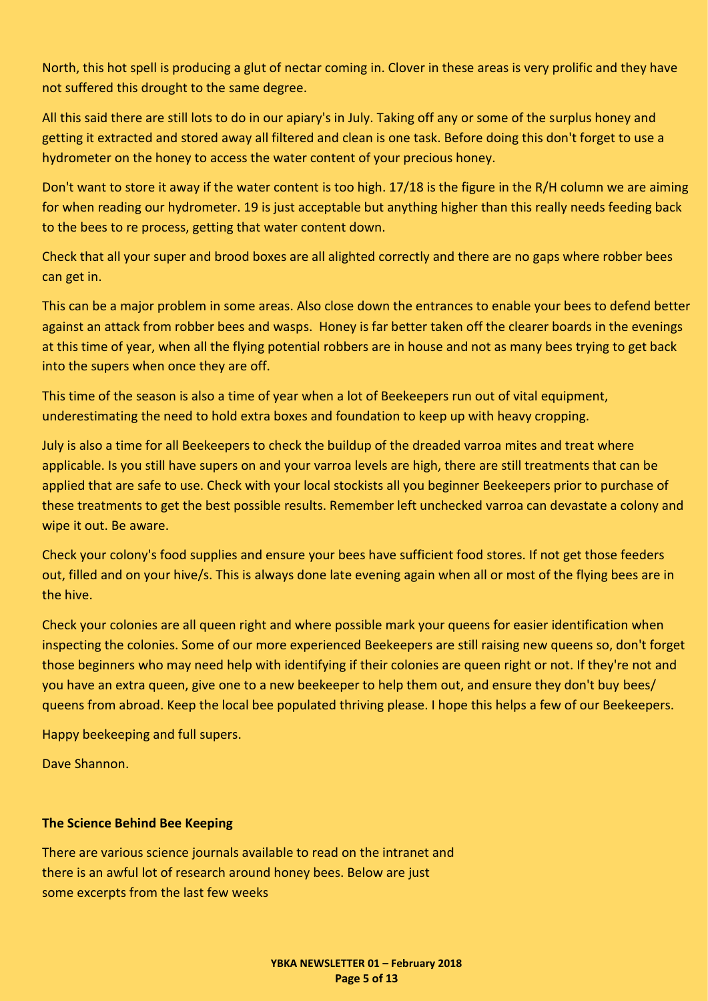North, this hot spell is producing a glut of nectar coming in. Clover in these areas is very prolific and they have not suffered this drought to the same degree.

All this said there are still lots to do in our apiary's in July. Taking off any or some of the surplus honey and getting it extracted and stored away all filtered and clean is one task. Before doing this don't forget to use a hydrometer on the honey to access the water content of your precious honey.

Don't want to store it away if the water content is too high. 17/18 is the figure in the R/H column we are aiming for when reading our hydrometer. 19 is just acceptable but anything higher than this really needs feeding back to the bees to re process, getting that water content down.

Check that all your super and brood boxes are all alighted correctly and there are no gaps where robber bees can get in.

This can be a major problem in some areas. Also close down the entrances to enable your bees to defend better against an attack from robber bees and wasps. Honey is far better taken off the clearer boards in the evenings at this time of year, when all the flying potential robbers are in house and not as many bees trying to get back into the supers when once they are off.

This time of the season is also a time of year when a lot of Beekeepers run out of vital equipment, underestimating the need to hold extra boxes and foundation to keep up with heavy cropping.

July is also a time for all Beekeepers to check the buildup of the dreaded varroa mites and treat where applicable. Is you still have supers on and your varroa levels are high, there are still treatments that can be applied that are safe to use. Check with your local stockists all you beginner Beekeepers prior to purchase of these treatments to get the best possible results. Remember left unchecked varroa can devastate a colony and wipe it out. Be aware.

Check your colony's food supplies and ensure your bees have sufficient food stores. If not get those feeders out, filled and on your hive/s. This is always done late evening again when all or most of the flying bees are in the hive.

Check your colonies are all queen right and where possible mark your queens for easier identification when inspecting the colonies. Some of our more experienced Beekeepers are still raising new queens so, don't forget those beginners who may need help with identifying if their colonies are queen right or not. If they're not and you have an extra queen, give one to a new beekeeper to help them out, and ensure they don't buy bees/ queens from abroad. Keep the local bee populated thriving please. I hope this helps a few of our Beekeepers.

Happy beekeeping and full supers.

Dave Shannon.

#### <span id="page-4-0"></span>**The Science Behind Bee Keeping**

There are various science journals available to read on the intranet and there is an awful lot of research around honey bees. Below are just some excerpts from the last few weeks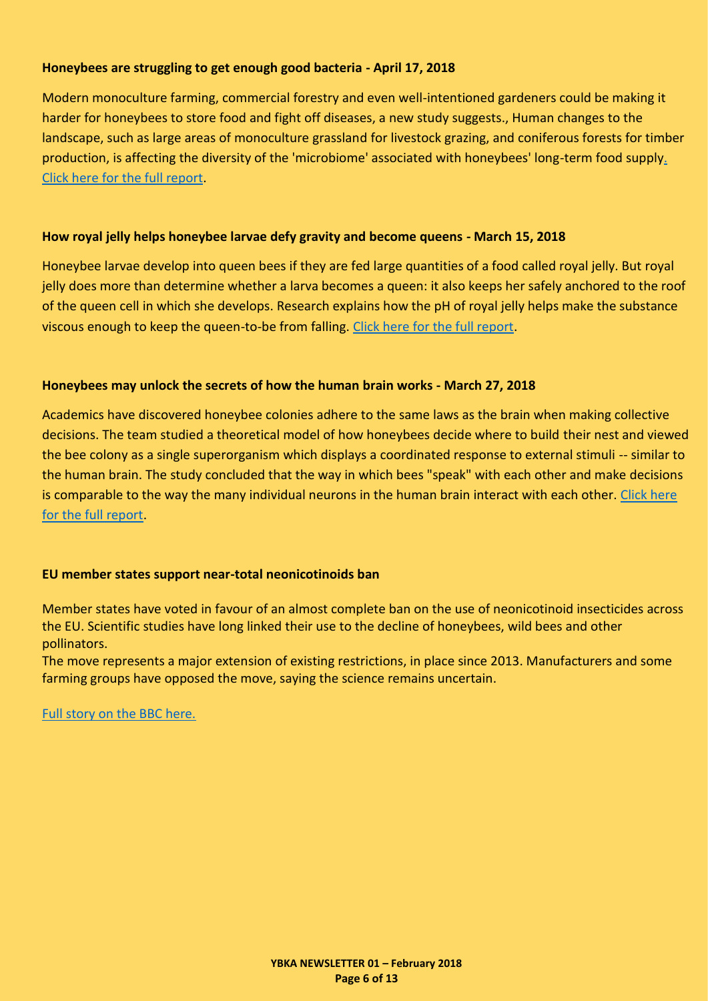# **Honeybees are struggling to get enough good bacteria - April 17, 2018**

Modern monoculture farming, commercial forestry and even well-intentioned gardeners could be making it harder for honeybees to store food and fight off diseases, a new study suggests., Human changes to the landscape, such as large areas of monoculture grassland for livestock grazing, and coniferous forests for timber production, is affecting the diversity of the 'microbiome' associated with honeybees' long-term food suppl[y.](https://www.sciencedaily.com/releases/2018/04/180417115706.htm)  [Click here for the full report.](https://www.sciencedaily.com/releases/2018/04/180417115706.htm)

# **How royal jelly helps honeybee larvae defy gravity and become queens - March 15, 2018**

Honeybee larvae develop into queen bees if they are fed large quantities of a food called royal jelly. But royal jelly does more than determine whether a larva becomes a queen: it also keeps her safely anchored to the roof of the queen cell in which she develops. Research explains how the pH of royal jelly helps make the substance viscous enough to keep the queen-to-be from falling. [Click here for the full report.](https://www.sciencedaily.com/releases/2018/03/180315140721.htm)

# **Honeybees may unlock the secrets of how the human brain works - March 27, 2018**

Academics have discovered honeybee colonies adhere to the same laws as the brain when making collective decisions. The team studied a theoretical model of how honeybees decide where to build their nest and viewed the bee colony as a single superorganism which displays a coordinated response to external stimuli -- similar to the human brain. The study concluded that the way in which bees "speak" with each other and make decisions is comparable to the way the many individual neurons in the human brain interact with each other. Click here [for the full report.](https://www.sciencedaily.com/releases/2018/03/180327102656.htm)

# **EU member states support near-total neonicotinoids ban**

Member states have voted in favour of an almost complete ban on the use of neonicotinoid insecticides across the EU. Scientific studies have long linked their use to the decline of honeybees, wild bees and other pollinators.

The move represents a major extension of existing restrictions, in place since 2013. Manufacturers and some farming groups have opposed the move, saying the science remains uncertain.

[Full story on the BBC here.](http://www.bbc.co.uk/news/science-environment-43910536)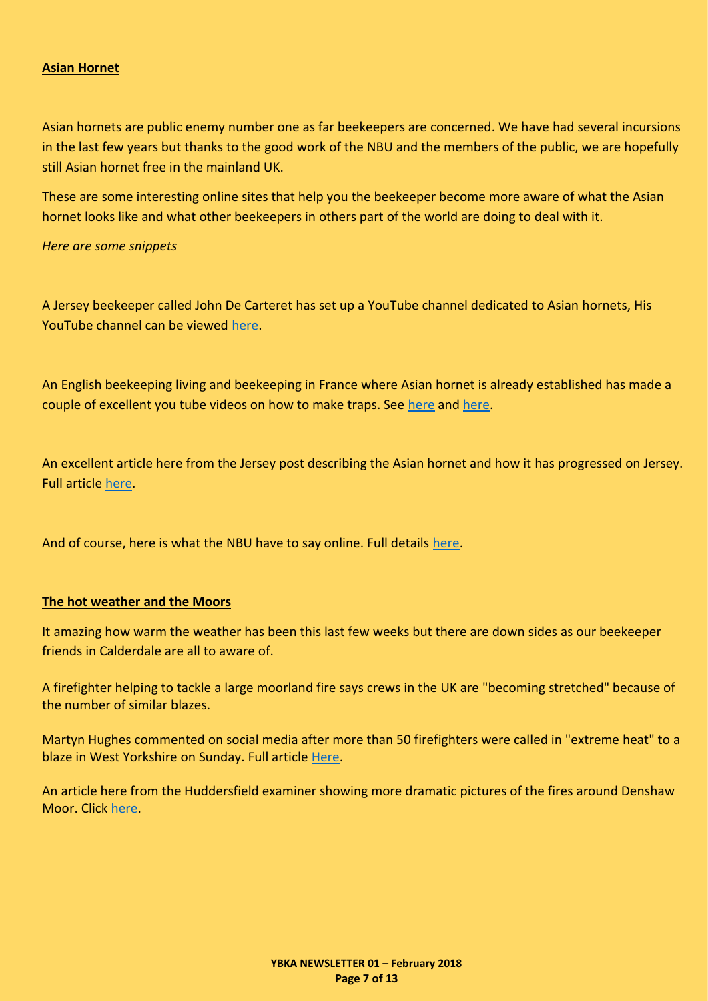#### <span id="page-6-0"></span>**Asian Hornet**

Asian hornets are public enemy number one as far beekeepers are concerned. We have had several incursions in the last few years but thanks to the good work of the NBU and the members of the public, we are hopefully still Asian hornet free in the mainland UK.

These are some interesting online sites that help you the beekeeper become more aware of what the Asian hornet looks like and what other beekeepers in others part of the world are doing to deal with it.

*Here are some snippets*

A Jersey beekeeper called John De Carteret has set up a YouTube channel dedicated to Asian hornets, His YouTube channel can be viewed [here.](https://www.youtube.com/channel/UCjOUg1lK5StrQX_K_gKzjnw)

An English beekeeping living and beekeeping in France where Asian hornet is already established has made a couple of excellent you tube videos on how to make traps. See [here](https://www.youtube.com/watch?v=Yin1eGivY3A) and [here.](https://www.youtube.com/watch?v=44-rV7kqhdk&t=468s)

An excellent article here from the Jersey post describing the Asian hornet and how it has progressed on Jersey. Full article [here.](https://jerseyeveningpost.com/news/2018/07/02/halting-the-invasion-of-the-asian-hornet/)

And of course, here is what the NBU have to say online. Full details [here.](http://www.nationalbeeunit.com/index.cfm?sectionid=117)

#### <span id="page-6-1"></span>**The hot weather and the Moors**

It amazing how warm the weather has been this last few weeks but there are down sides as our beekeeper friends in Calderdale are all to aware of.

A firefighter helping to tackle a large moorland fire says crews in the UK are "becoming stretched" because of the number of similar blazes.

Martyn Hughes commented on social media after more than 50 firefighters were called in "extreme heat" to a blaze in West Yorkshire on Sunday. Full article [Here.](https://www.bbc.co.uk/news/uk-england-44765910)

An article here from the Huddersfield examiner showing more dramatic pictures of the fires around Denshaw Moor. Click [here.](https://www.examiner.co.uk/news/west-yorkshire-news/dramatic-pictures-show-helicopter-tackling-14880526)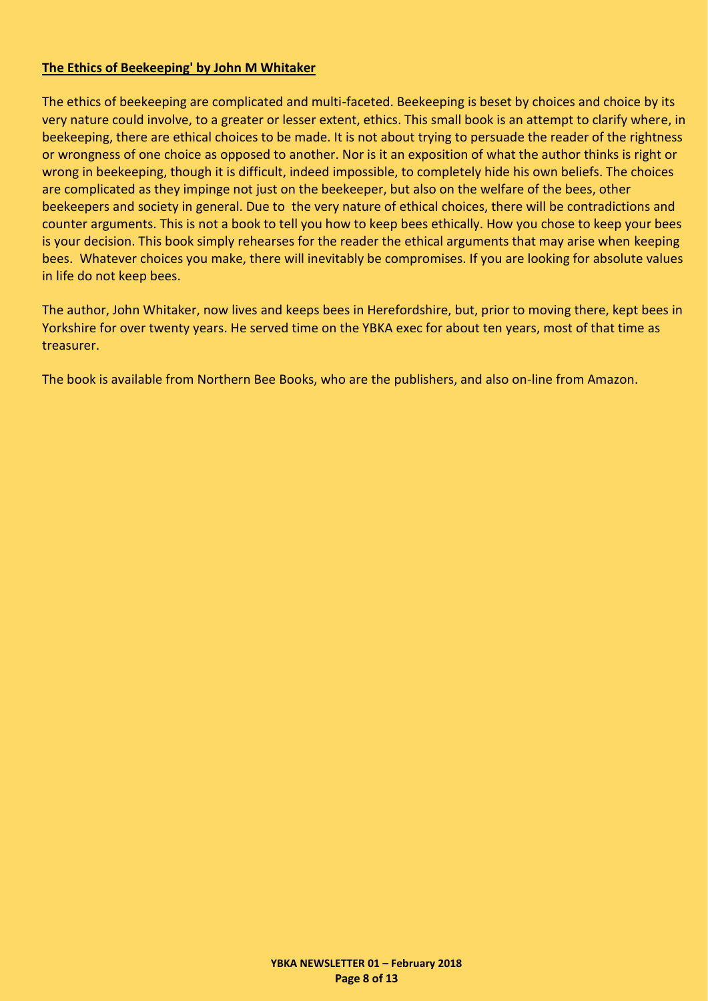# <span id="page-7-0"></span>**The Ethics of Beekeeping' by John M Whitaker**

The ethics of beekeeping are complicated and multi-faceted. Beekeeping is beset by choices and choice by its very nature could involve, to a greater or lesser extent, ethics. This small book is an attempt to clarify where, in beekeeping, there are ethical choices to be made. It is not about trying to persuade the reader of the rightness or wrongness of one choice as opposed to another. Nor is it an exposition of what the author thinks is right or wrong in beekeeping, though it is difficult, indeed impossible, to completely hide his own beliefs. The choices are complicated as they impinge not just on the beekeeper, but also on the welfare of the bees, other beekeepers and society in general. Due to the very nature of ethical choices, there will be contradictions and counter arguments. This is not a book to tell you how to keep bees ethically. How you chose to keep your bees is your decision. This book simply rehearses for the reader the ethical arguments that may arise when keeping bees. Whatever choices you make, there will inevitably be compromises. If you are looking for absolute values in life do not keep bees.

The author, John Whitaker, now lives and keeps bees in Herefordshire, but, prior to moving there, kept bees in Yorkshire for over twenty years. He served time on the YBKA exec for about ten years, most of that time as treasurer.

The book is available from Northern Bee Books, who are the publishers, and also on-line from Amazon.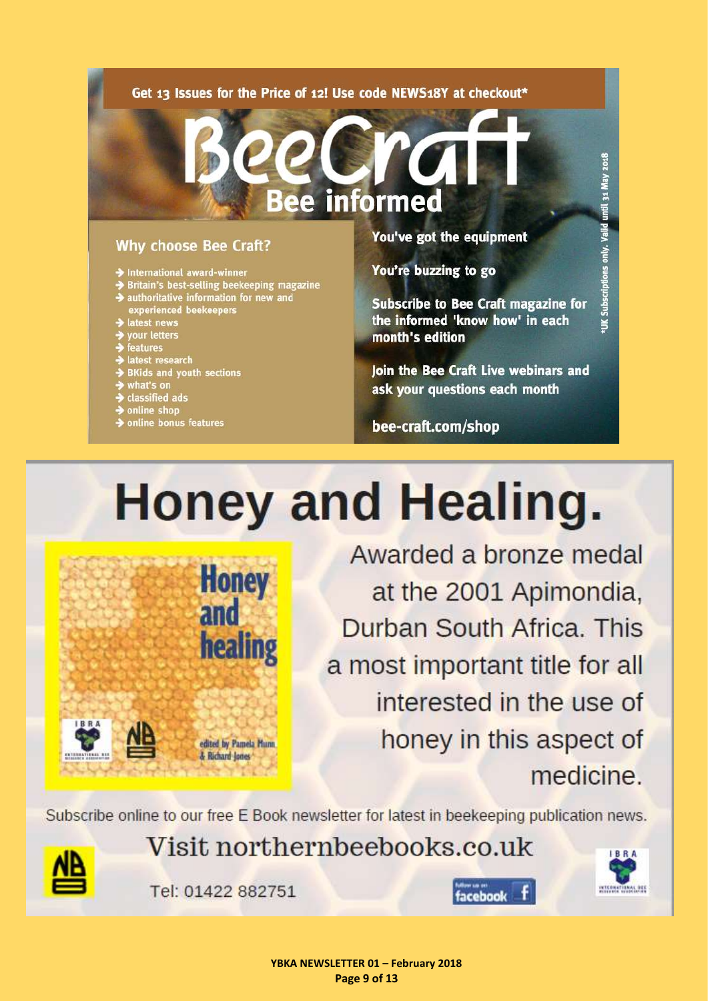#### <span id="page-8-0"></span>Get 13 Issues for the Price of 12! Use code NEWS18Y at checkout\*

# **Why choose Bee Craft?**

- > International award-winner
- Britain's best-selling beekeeping magazine
- $\blacktriangleright$  authoritative information for new and experienced beekeepers
- latest news
- your letters
- 
- 
- ,<br>| features<br>| latest research<br>| BKids and youth sections
- what's on
- $\rightarrow$  classified ads
- $\rightarrow$  online shop
- > online bonus features

You've got the equipment

You're buzzing to go

informed

**Subscribe to Bee Craft magazine for** the informed 'know how' in each month's edition

Join the Bee Craft Live webinars and ask your questions each month

bee-craft.com/shop

# Honey and Healing.

**Honey** and healing edited by Pamela Munn & Richard Jones

Awarded a bronze medal at the 2001 Apimondia, Durban South Africa. This a most important title for all interested in the use of honey in this aspect of medicine.

Subscribe online to our free E Book newsletter for latest in beekeeping publication news.



Visit northernbeebooks.co.uk

Tel: 01422 882751

facebook

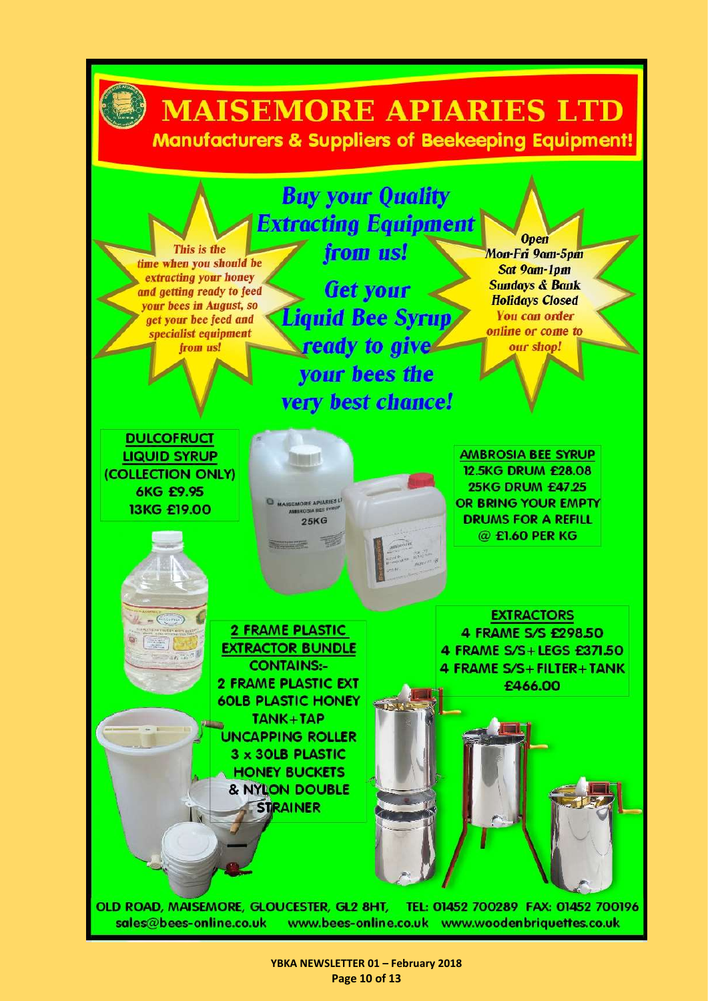

**YBKA NEWSLETTER 01 – February 2018 Page 10 of 13**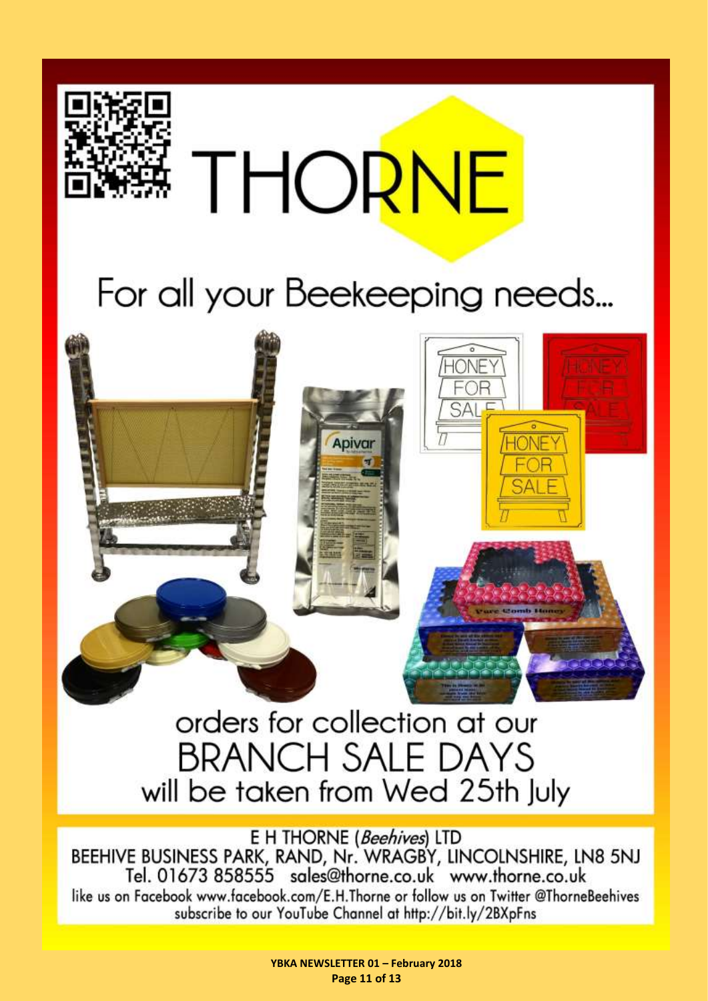

Apivar

 $\mathbb{R}\Delta\mathbb{R}$ 

# orders for collection at our **BRANCH SALE DAYS** will be taken from Wed 25th July

E H THORNE (Beehives) LTD BEEHIVE BUSINESS PARK, RAND, Nr. WRAGBY, LINCOLNSHIRE, LN8 5NJ Tel. 01673 858555 sales@thorne.co.uk www.thorne.co.uk like us on Facebook www.facebook.com/E.H.Thorne or follow us on Twitter @ThorneBeehives subscribe to our YouTube Channel at http://bit.ly/2BXpFns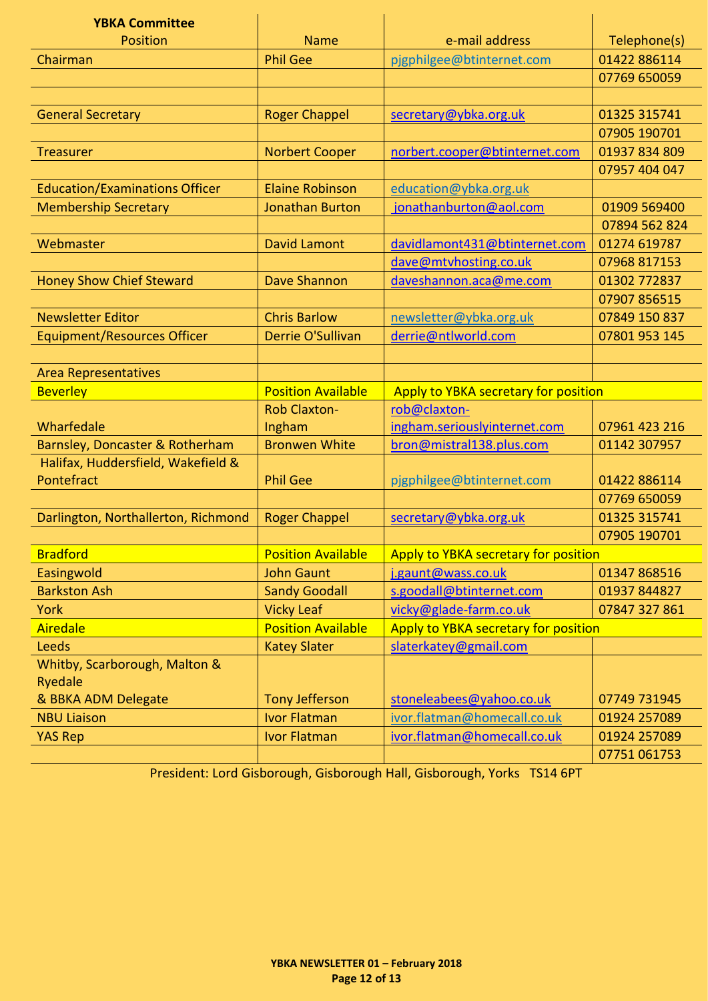<span id="page-11-0"></span>

| <b>YBKA Committee</b>                 |                           |                                      |               |
|---------------------------------------|---------------------------|--------------------------------------|---------------|
| <b>Position</b>                       | <b>Name</b>               | e-mail address                       | Telephone(s)  |
| Chairman                              | <b>Phil Gee</b>           | pjgphilgee@btinternet.com            | 01422 886114  |
|                                       |                           |                                      | 07769 650059  |
|                                       |                           |                                      |               |
| <b>General Secretary</b>              | <b>Roger Chappel</b>      | secretary@ybka.org.uk                | 01325 315741  |
|                                       |                           |                                      | 07905 190701  |
| <b>Treasurer</b>                      | <b>Norbert Cooper</b>     | norbert.cooper@btinternet.com        | 01937 834 809 |
|                                       |                           |                                      | 07957 404 047 |
| <b>Education/Examinations Officer</b> | <b>Elaine Robinson</b>    | education@ybka.org.uk                |               |
| <b>Membership Secretary</b>           | <b>Jonathan Burton</b>    | jonathanburton@aol.com               | 01909 569400  |
|                                       |                           |                                      | 07894 562 824 |
| Webmaster                             | <b>David Lamont</b>       | davidlamont431@btinternet.com        | 01274 619787  |
|                                       |                           | dave@mtvhosting.co.uk                | 07968 817153  |
| <b>Honey Show Chief Steward</b>       | <b>Dave Shannon</b>       | daveshannon.aca@me.com               | 01302 772837  |
|                                       |                           |                                      | 07907 856515  |
| <b>Newsletter Editor</b>              | <b>Chris Barlow</b>       | newsletter@ybka.org.uk               | 07849 150 837 |
| <b>Equipment/Resources Officer</b>    | <b>Derrie O'Sullivan</b>  | derrie@ntlworld.com                  | 07801 953 145 |
|                                       |                           |                                      |               |
| <b>Area Representatives</b>           |                           |                                      |               |
| <b>Beverley</b>                       | <b>Position Available</b> | Apply to YBKA secretary for position |               |
|                                       | <b>Rob Claxton-</b>       | rob@claxton-                         |               |
| Wharfedale                            | Ingham                    | ingham.seriouslyinternet.com         | 07961 423 216 |
| Barnsley, Doncaster & Rotherham       | <b>Bronwen White</b>      | bron@mistral138.plus.com             | 01142 307957  |
| Halifax, Huddersfield, Wakefield &    |                           |                                      |               |
| Pontefract                            | <b>Phil Gee</b>           | pjgphilgee@btinternet.com            | 01422 886114  |
|                                       |                           |                                      | 07769 650059  |
| Darlington, Northallerton, Richmond   | <b>Roger Chappel</b>      | secretary@ybka.org.uk                | 01325 315741  |
|                                       |                           |                                      | 07905 190701  |
| <b>Bradford</b>                       | <b>Position Available</b> | Apply to YBKA secretary for position |               |
| Easingwold                            | <b>John Gaunt</b>         | j.gaunt@wass.co.uk                   | 01347 868516  |
| <b>Barkston Ash</b>                   | <b>Sandy Goodall</b>      | s.goodall@btinternet.com             | 01937 844827  |
| <b>York</b>                           | <b>Vicky Leaf</b>         | vicky@glade-farm.co.uk               | 07847 327 861 |
| <b>Airedale</b>                       | <b>Position Available</b> | Apply to YBKA secretary for position |               |
| <b>Leeds</b>                          | <b>Katey Slater</b>       | slaterkatey@gmail.com                |               |
| Whitby, Scarborough, Malton &         |                           |                                      |               |
| Ryedale                               |                           |                                      |               |
| & BBKA ADM Delegate                   | <b>Tony Jefferson</b>     | stoneleabees@yahoo.co.uk             | 07749 731945  |
| <b>NBU Liaison</b>                    | <b>Ivor Flatman</b>       | ivor.flatman@homecall.co.uk          | 01924 257089  |
| <b>YAS Rep</b>                        | <b>Ivor Flatman</b>       | ivor.flatman@homecall.co.uk          | 01924 257089  |
|                                       |                           |                                      | 07751 061753  |

President: Lord Gisborough, Gisborough Hall, Gisborough, Yorks TS14 6PT